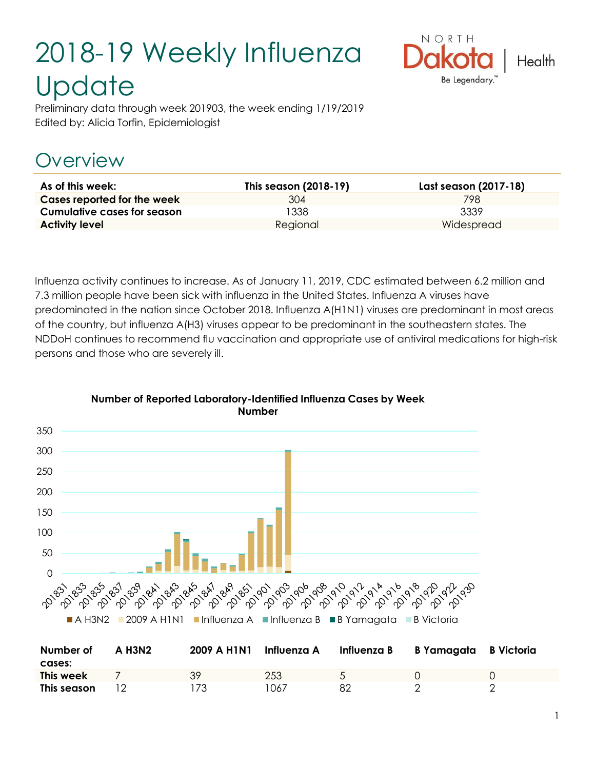# 2018-19 Weekly Influenza **Update**



Preliminary data through week 201903, the week ending 1/19/2019 Edited by: Alicia Torfin, Epidemiologist

# **Overview**

| As of this week:                   | This season (2018-19) | Last season (2017-18) |
|------------------------------------|-----------------------|-----------------------|
| Cases reported for the week        | 304                   | 798                   |
| <b>Cumulative cases for season</b> | 1338                  | 3339                  |
| <b>Activity level</b>              | Regional              | Widespread            |

Influenza activity continues to increase. As of January 11, 2019, CDC estimated between 6.2 million and 7.3 million people have been sick with influenza in the United States. Influenza A viruses have predominated in the nation since October 2018. Influenza A(H1N1) viruses are predominant in most areas of the country, but influenza A(H3) viruses appear to be predominant in the southeastern states. The NDDoH continues to recommend flu vaccination and appropriate use of antiviral medications for high-risk persons and those who are severely ill.



#### **Number of Reported Laboratory-Identified Influenza Cases by Week Number**

| Number of<br>cases: | A H <sub>3</sub> N <sub>2</sub> | 2009 A H1N1 | Influenza A | Influenza B | B Yamagata B Victoria |  |
|---------------------|---------------------------------|-------------|-------------|-------------|-----------------------|--|
| This week           |                                 | 39          | 253         |             |                       |  |
| This season         |                                 | 73          | 1067        | 82          |                       |  |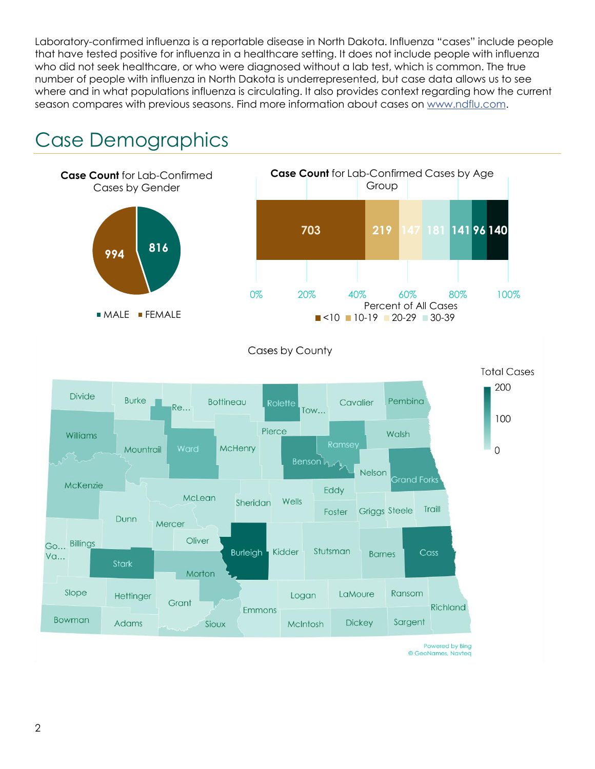Laboratory-confirmed influenza is a reportable disease in North Dakota. Influenza "cases" include people that have tested positive for influenza in a healthcare setting. It does not include people with influenza who did not seek healthcare, or who were diagnosed without a lab test, which is common. The true number of people with influenza in North Dakota is underrepresented, but case data allows us to see where and in what populations influenza is circulating. It also provides context regarding how the current season compares with previous seasons. Find more information about cases on [www.ndflu.com.](file://///nd.gov/doh/DOH-DATA/MSS/DC/PROGRAM/IMMUNE/Immunize/Influenza/Inf18-19/Surveillance/Weekly%20Summaries/www.ndflu.com)

# Case Demographics

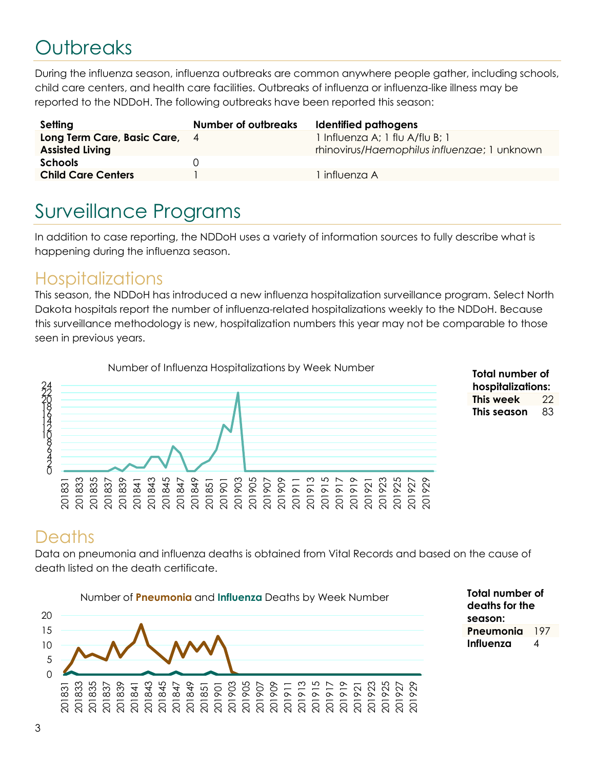# **Outbreaks**

During the influenza season, influenza outbreaks are common anywhere people gather, including schools, child care centers, and health care facilities. Outbreaks of influenza or influenza-like illness may be reported to the NDDoH. The following outbreaks have been reported this season:

| Setting                                                 | <b>Number of outbreaks</b> | Identified pathogens                                                            |
|---------------------------------------------------------|----------------------------|---------------------------------------------------------------------------------|
| Long Term Care, Basic Care, 4<br><b>Assisted Living</b> |                            | 1 Influenza A; 1 flu A/flu B; 1<br>rhinovirus/Haemophilus influenzae; 1 unknown |
| <b>Schools</b>                                          |                            |                                                                                 |
| <b>Child Care Centers</b>                               |                            | influenza A                                                                     |

## Surveillance Programs

In addition to case reporting, the NDDoH uses a variety of information sources to fully describe what is happening during the influenza season.

#### **Hospitalizations**

This season, the NDDoH has introduced a new influenza hospitalization surveillance program. Select North Dakota hospitals report the number of influenza-related hospitalizations weekly to the NDDoH. Because this surveillance methodology is new, hospitalization numbers this year may not be comparable to those seen in previous years.





#### **Deaths**

Data on pneumonia and influenza deaths is obtained from Vital Records and based on the cause of death listed on the death certificate.



**Total number of deaths for the season: Pneumonia** 197 **Influenza** 4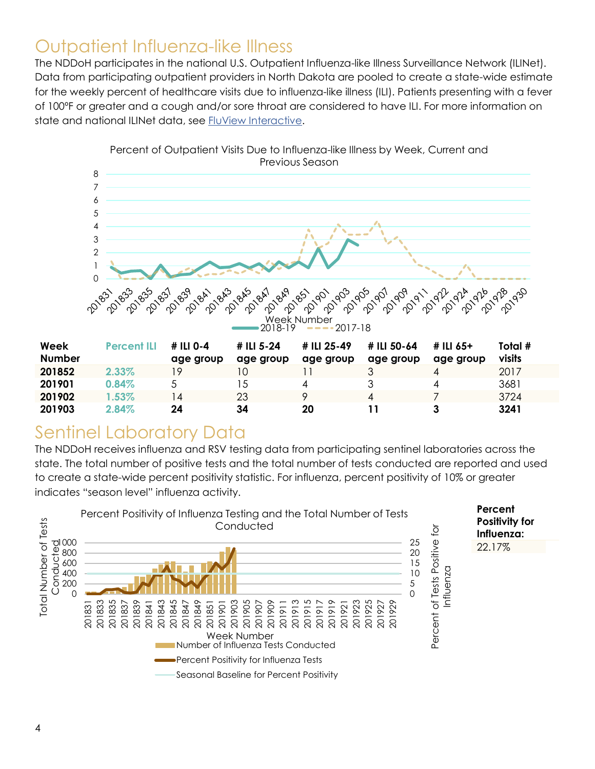#### Outpatient Influenza-like Illness

The NDDoH participates in the national U.S. Outpatient Influenza-like Illness Surveillance Network (ILINet). Data from participating outpatient providers in North Dakota are pooled to create a state-wide estimate for the weekly percent of healthcare visits due to influenza-like illness (ILI). Patients presenting with a fever of 100ºF or greater and a cough and/or sore throat are considered to have ILI. For more information on state and national ILINet data, see **FluView Interactive**.



| Week          | <b>Percent ILI</b> | # ILI 0-4 | # ILI 5-24 | # ILI 25-49 | # ILI 50-64 | # ILI 65+ | Total # |
|---------------|--------------------|-----------|------------|-------------|-------------|-----------|---------|
| <b>Number</b> |                    | age group | age group  | age group   | age group   | age group | visits  |
| 201852        | 2.33%              | 19        |            |             |             |           | 2017    |
| 201901        | 0.84%              |           |            |             |             |           | 3681    |
| 201902        | $1.53\%$           | 4         | 23         |             | 4           |           | 3724    |
| 201903        | 2.84%              | 24        | 34         | 20          |             |           | 3241    |

### Sentinel Laboratory Data

The NDDoH receives influenza and RSV testing data from participating sentinel laboratories across the state. The total number of positive tests and the total number of tests conducted are reported and used to create a state-wide percent positivity statistic. For influenza, percent positivity of 10% or greater indicates "season level" influenza activity.

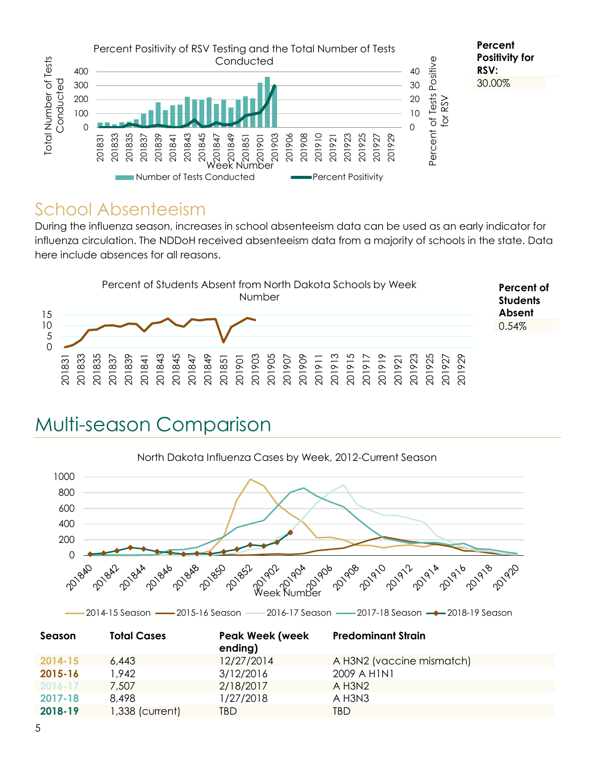

#### School Absenteeism

During the influenza season, increases in school absenteeism data can be used as an early indicator for influenza circulation. The NDDoH received absenteeism data from a majority of schools in the state. Data here include absences for all reasons.



### Multi-season Comparison



| Season      | <b>Total Cases</b> | <b>Peak Week (week</b><br>ending) | <b>Predominant Strain</b> |
|-------------|--------------------|-----------------------------------|---------------------------|
| 2014-15     | 6,443              | 12/27/2014                        | A H3N2 (vaccine mismatch) |
| 2015-16     | 1.942              | 3/12/2016                         | 2009 A HINI               |
| $2016 - 17$ | 7,507              | 2/18/2017                         | $A$ H3N2                  |
| 2017-18     | 8.498              | 1/27/2018                         | A H3N3                    |
| 2018-19     | 1,338 (current)    | TBD.                              | TBD                       |